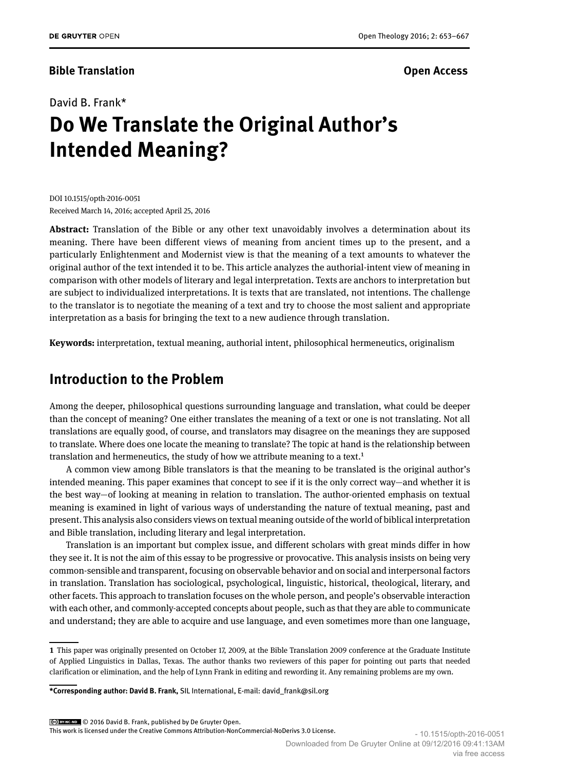#### **Bible Translation Contract Contract Contract Contract Contract Contract Contract Contract Contract Contract Contract Contract Contract Contract Contract Contract Contract Contract Contract Contract Contract Contract Contr**

David B. Frank\*

# **Do We Translate the Original Author's Intended Meaning?**

DOI 10.1515/opth-2016-0051 Received March 14, 2016; accepted April 25, 2016

**Abstract:** Translation of the Bible or any other text unavoidably involves a determination about its meaning. There have been different views of meaning from ancient times up to the present, and a particularly Enlightenment and Modernist view is that the meaning of a text amounts to whatever the original author of the text intended it to be. This article analyzes the authorial-intent view of meaning in comparison with other models of literary and legal interpretation. Texts are anchors to interpretation but are subject to individualized interpretations. It is texts that are translated, not intentions. The challenge to the translator is to negotiate the meaning of a text and try to choose the most salient and appropriate interpretation as a basis for bringing the text to a new audience through translation.

**Keywords:** interpretation, textual meaning, authorial intent, philosophical hermeneutics, originalism

## **Introduction to the Problem**

Among the deeper, philosophical questions surrounding language and translation, what could be deeper than the concept of meaning? One either translates the meaning of a text or one is not translating. Not all translations are equally good, of course, and translators may disagree on the meanings they are supposed to translate. Where does one locate the meaning to translate? The topic at hand is the relationship between translation and hermeneutics, the study of how we attribute meaning to a text.1

A common view among Bible translators is that the meaning to be translated is the original author's intended meaning. This paper examines that concept to see if it is the only correct way—and whether it is the best way—of looking at meaning in relation to translation. The author-oriented emphasis on textual meaning is examined in light of various ways of understanding the nature of textual meaning, past and present. This analysis also considers views on textual meaning outside of the world of biblical interpretation and Bible translation, including literary and legal interpretation.

Translation is an important but complex issue, and different scholars with great minds differ in how they see it. It is not the aim of this essay to be progressive or provocative. This analysis insists on being very common-sensible and transparent, focusing on observable behavior and on social and interpersonal factors in translation. Translation has sociological, psychological, linguistic, historical, theological, literary, and other facets. This approach to translation focuses on the whole person, and people's observable interaction with each other, and commonly-accepted concepts about people, such as that they are able to communicate and understand; they are able to acquire and use language, and even sometimes more than one language,

© 2016 David B. Frank, published by De Gruyter Open.

This work is licensed under the Creative Commons Attribution-NonCommercial-NoDerivs 3.0 License.

**<sup>1</sup>** This paper was originally presented on October 17, 2009, at the Bible Translation 2009 conference at the Graduate Institute of Applied Linguistics in Dallas, Texas. The author thanks two reviewers of this paper for pointing out parts that needed clarification or elimination, and the help of Lynn Frank in editing and rewording it. Any remaining problems are my own.

**<sup>\*</sup>Corresponding author: David B. Frank,** SIL International, E-mail: david\_frank@sil.org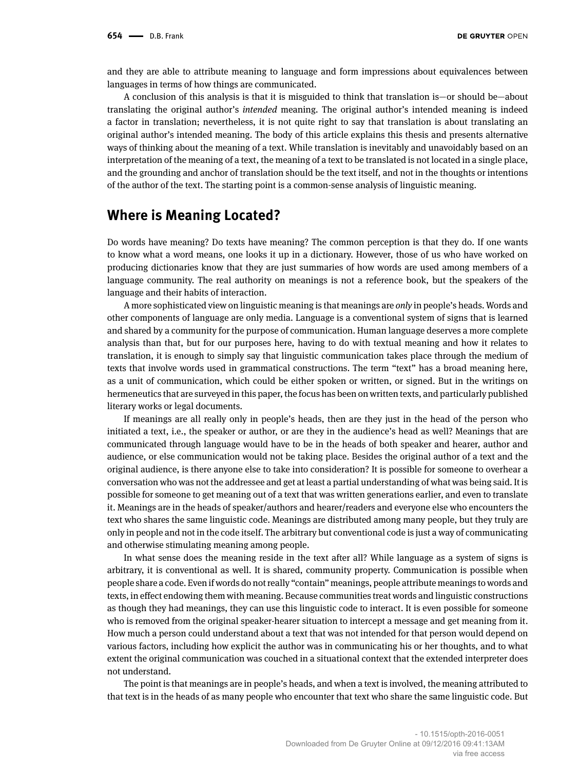and they are able to attribute meaning to language and form impressions about equivalences between languages in terms of how things are communicated.

A conclusion of this analysis is that it is misguided to think that translation is—or should be—about translating the original author's *intended* meaning. The original author's intended meaning is indeed a factor in translation; nevertheless, it is not quite right to say that translation is about translating an original author's intended meaning. The body of this article explains this thesis and presents alternative ways of thinking about the meaning of a text. While translation is inevitably and unavoidably based on an interpretation of the meaning of a text, the meaning of a text to be translated is not located in a single place, and the grounding and anchor of translation should be the text itself, and not in the thoughts or intentions of the author of the text. The starting point is a common-sense analysis of linguistic meaning.

# **Where is Meaning Located?**

Do words have meaning? Do texts have meaning? The common perception is that they do. If one wants to know what a word means, one looks it up in a dictionary. However, those of us who have worked on producing dictionaries know that they are just summaries of how words are used among members of a language community. The real authority on meanings is not a reference book, but the speakers of the language and their habits of interaction.

A more sophisticated view on linguistic meaning is that meanings are *only* in people's heads. Words and other components of language are only media. Language is a conventional system of signs that is learned and shared by a community for the purpose of communication. Human language deserves a more complete analysis than that, but for our purposes here, having to do with textual meaning and how it relates to translation, it is enough to simply say that linguistic communication takes place through the medium of texts that involve words used in grammatical constructions. The term "text" has a broad meaning here, as a unit of communication, which could be either spoken or written, or signed. But in the writings on hermeneutics that are surveyed in this paper, the focus has been on written texts, and particularly published literary works or legal documents.

If meanings are all really only in people's heads, then are they just in the head of the person who initiated a text, i.e., the speaker or author, or are they in the audience's head as well? Meanings that are communicated through language would have to be in the heads of both speaker and hearer, author and audience, or else communication would not be taking place. Besides the original author of a text and the original audience, is there anyone else to take into consideration? It is possible for someone to overhear a conversation who was not the addressee and get at least a partial understanding of what was being said. It is possible for someone to get meaning out of a text that was written generations earlier, and even to translate it. Meanings are in the heads of speaker/authors and hearer/readers and everyone else who encounters the text who shares the same linguistic code. Meanings are distributed among many people, but they truly are only in people and not in the code itself. The arbitrary but conventional code is just a way of communicating and otherwise stimulating meaning among people.

In what sense does the meaning reside in the text after all? While language as a system of signs is arbitrary, it is conventional as well. It is shared, community property. Communication is possible when people share a code. Even if words do not really "contain" meanings, people attribute meanings to words and texts, in effect endowing them with meaning. Because communities treat words and linguistic constructions as though they had meanings, they can use this linguistic code to interact. It is even possible for someone who is removed from the original speaker-hearer situation to intercept a message and get meaning from it. How much a person could understand about a text that was not intended for that person would depend on various factors, including how explicit the author was in communicating his or her thoughts, and to what extent the original communication was couched in a situational context that the extended interpreter does not understand.

The point is that meanings are in people's heads, and when a text is involved, the meaning attributed to that text is in the heads of as many people who encounter that text who share the same linguistic code. But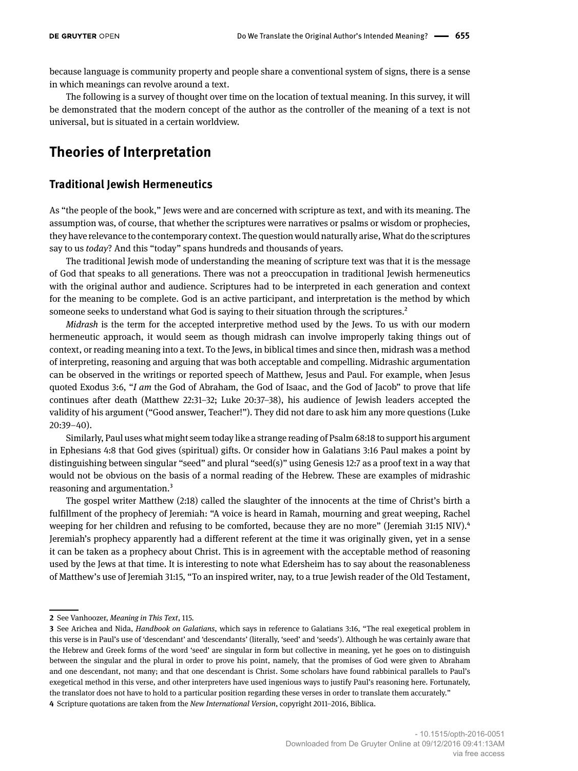because language is community property and people share a conventional system of signs, there is a sense in which meanings can revolve around a text.

The following is a survey of thought over time on the location of textual meaning. In this survey, it will be demonstrated that the modern concept of the author as the controller of the meaning of a text is not universal, but is situated in a certain worldview.

# **Theories of Interpretation**

#### **Traditional Jewish Hermeneutics**

As "the people of the book," Jews were and are concerned with scripture as text, and with its meaning. The assumption was, of course, that whether the scriptures were narratives or psalms or wisdom or prophecies, they have relevance to the contemporary context. The question would naturally arise, What do the scriptures say to us *today*? And this "today" spans hundreds and thousands of years.

The traditional Jewish mode of understanding the meaning of scripture text was that it is the message of God that speaks to all generations. There was not a preoccupation in traditional Jewish hermeneutics with the original author and audience. Scriptures had to be interpreted in each generation and context for the meaning to be complete. God is an active participant, and interpretation is the method by which someone seeks to understand what God is saying to their situation through the scriptures.<sup>2</sup>

*Midrash* is the term for the accepted interpretive method used by the Jews. To us with our modern hermeneutic approach, it would seem as though midrash can involve improperly taking things out of context, or reading meaning into a text. To the Jews, in biblical times and since then, midrash was a method of interpreting, reasoning and arguing that was both acceptable and compelling. Midrashic argumentation can be observed in the writings or reported speech of Matthew, Jesus and Paul. For example, when Jesus quoted Exodus 3:6, "*I am* the God of Abraham, the God of Isaac, and the God of Jacob" to prove that life continues after death (Matthew 22:31–32; Luke 20:37–38), his audience of Jewish leaders accepted the validity of his argument ("Good answer, Teacher!"). They did not dare to ask him any more questions (Luke 20:39–40).

Similarly, Paul uses what might seem today like a strange reading of Psalm 68:18 to support his argument in Ephesians 4:8 that God gives (spiritual) gifts. Or consider how in Galatians 3:16 Paul makes a point by distinguishing between singular "seed" and plural "seed(s)" using Genesis 12:7 as a proof text in a way that would not be obvious on the basis of a normal reading of the Hebrew. These are examples of midrashic reasoning and argumentation.3

The gospel writer Matthew (2:18) called the slaughter of the innocents at the time of Christ's birth a fulfillment of the prophecy of Jeremiah: "A voice is heard in Ramah, mourning and great weeping, Rachel weeping for her children and refusing to be comforted, because they are no more" (Jeremiah 31:15 NIV).<sup>4</sup> Jeremiah's prophecy apparently had a different referent at the time it was originally given, yet in a sense it can be taken as a prophecy about Christ. This is in agreement with the acceptable method of reasoning used by the Jews at that time. It is interesting to note what Edersheim has to say about the reasonableness of Matthew's use of Jeremiah 31:15, "To an inspired writer, nay, to a true Jewish reader of the Old Testament,

**<sup>2</sup>** See Vanhoozer, *Meaning in This Text*, 115.

**<sup>3</sup>** See Arichea and Nida, *Handbook on Galatians*, which says in reference to Galatians 3:16, "The real exegetical problem in this verse is in Paul's use of 'descendant' and 'descendants' (literally, 'seed' and 'seeds'). Although he was certainly aware that the Hebrew and Greek forms of the word 'seed' are singular in form but collective in meaning, yet he goes on to distinguish between the singular and the plural in order to prove his point, namely, that the promises of God were given to Abraham and one descendant, not many; and that one descendant is Christ. Some scholars have found rabbinical parallels to Paul's exegetical method in this verse, and other interpreters have used ingenious ways to justify Paul's reasoning here. Fortunately, the translator does not have to hold to a particular position regarding these verses in order to translate them accurately." **4** Scripture quotations are taken from the *New International Version*, copyright 2011–2016, Biblica.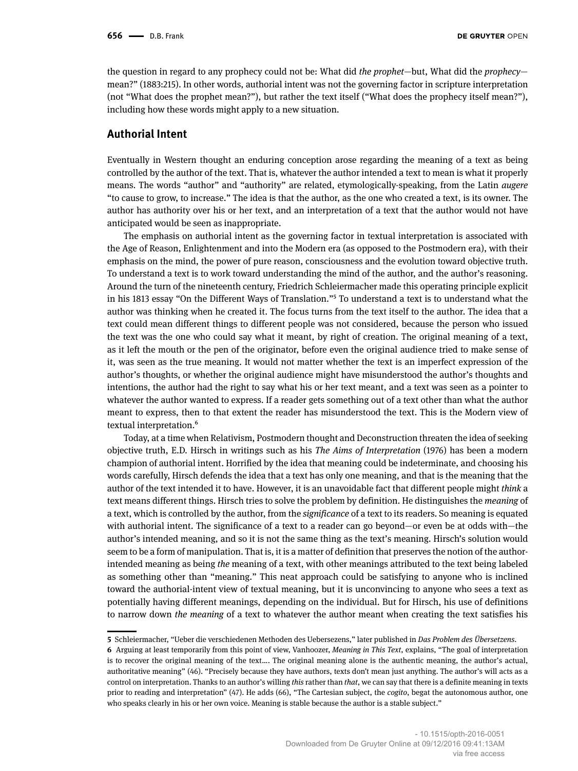the question in regard to any prophecy could not be: What did *the prophet*—but, What did the *prophecy* mean?" (1883:215). In other words, authorial intent was not the governing factor in scripture interpretation (not "What does the prophet mean?"), but rather the text itself ("What does the prophecy itself mean?"), including how these words might apply to a new situation.

#### **Authorial Intent**

Eventually in Western thought an enduring conception arose regarding the meaning of a text as being controlled by the author of the text. That is, whatever the author intended a text to mean is what it properly means. The words "author" and "authority" are related, etymologically-speaking, from the Latin *augere* "to cause to grow, to increase." The idea is that the author, as the one who created a text, is its owner. The author has authority over his or her text, and an interpretation of a text that the author would not have anticipated would be seen as inappropriate.

The emphasis on authorial intent as the governing factor in textual interpretation is associated with the Age of Reason, Enlightenment and into the Modern era (as opposed to the Postmodern era), with their emphasis on the mind, the power of pure reason, consciousness and the evolution toward objective truth. To understand a text is to work toward understanding the mind of the author, and the author's reasoning. Around the turn of the nineteenth century, Friedrich Schleiermacher made this operating principle explicit in his 1813 essay "On the Different Ways of Translation."5 To understand a text is to understand what the author was thinking when he created it. The focus turns from the text itself to the author. The idea that a text could mean different things to different people was not considered, because the person who issued the text was the one who could say what it meant, by right of creation. The original meaning of a text, as it left the mouth or the pen of the originator, before even the original audience tried to make sense of it, was seen as the true meaning. It would not matter whether the text is an imperfect expression of the author's thoughts, or whether the original audience might have misunderstood the author's thoughts and intentions, the author had the right to say what his or her text meant, and a text was seen as a pointer to whatever the author wanted to express. If a reader gets something out of a text other than what the author meant to express, then to that extent the reader has misunderstood the text. This is the Modern view of textual interpretation.<sup>6</sup>

Today, at a time when Relativism, Postmodern thought and Deconstruction threaten the idea of seeking objective truth, E.D. Hirsch in writings such as his *The Aims of Interpretation* (1976) has been a modern champion of authorial intent. Horrified by the idea that meaning could be indeterminate, and choosing his words carefully, Hirsch defends the idea that a text has only one meaning, and that is the meaning that the author of the text intended it to have. However, it is an unavoidable fact that different people might *think* a text means different things. Hirsch tries to solve the problem by definition. He distinguishes the *meaning* of a text, which is controlled by the author, from the *significance* of a text to its readers. So meaning is equated with authorial intent. The significance of a text to a reader can go beyond—or even be at odds with—the author's intended meaning, and so it is not the same thing as the text's meaning. Hirsch's solution would seem to be a form of manipulation. That is, it is a matter of definition that preserves the notion of the authorintended meaning as being *the* meaning of a text, with other meanings attributed to the text being labeled as something other than "meaning." This neat approach could be satisfying to anyone who is inclined toward the authorial-intent view of textual meaning, but it is unconvincing to anyone who sees a text as potentially having different meanings, depending on the individual. But for Hirsch, his use of definitions to narrow down *the meaning* of a text to whatever the author meant when creating the text satisfies his

**<sup>5</sup>** Schleiermacher, "Ueber die verschiedenen Methoden des Uebersezens," later published in *Das Problem des Übersetzens*.

**<sup>6</sup>** Arguing at least temporarily from this point of view, Vanhoozer, *Meaning in This Text*, explains, "The goal of interpretation is to recover the original meaning of the text…. The original meaning alone is the authentic meaning, the author's actual, authoritative meaning" (46). "Precisely because they have authors, texts don't mean just anything. The author's will acts as a control on interpretation. Thanks to an author's willing *this* rather than *that*, we can say that there is a definite meaning in texts prior to reading and interpretation" (47). He adds (66), "The Cartesian subject, the *cogito*, begat the autonomous author, one who speaks clearly in his or her own voice. Meaning is stable because the author is a stable subject."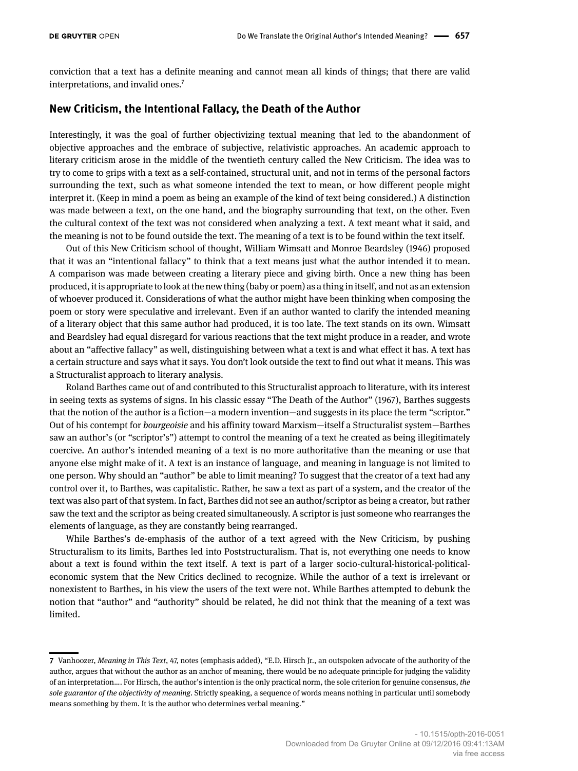conviction that a text has a definite meaning and cannot mean all kinds of things; that there are valid interpretations, and invalid ones.7

#### **New Criticism, the Intentional Fallacy, the Death of the Author**

Interestingly, it was the goal of further objectivizing textual meaning that led to the abandonment of objective approaches and the embrace of subjective, relativistic approaches. An academic approach to literary criticism arose in the middle of the twentieth century called the New Criticism. The idea was to try to come to grips with a text as a self-contained, structural unit, and not in terms of the personal factors surrounding the text, such as what someone intended the text to mean, or how different people might interpret it. (Keep in mind a poem as being an example of the kind of text being considered.) A distinction was made between a text, on the one hand, and the biography surrounding that text, on the other. Even the cultural context of the text was not considered when analyzing a text. A text meant what it said, and the meaning is not to be found outside the text. The meaning of a text is to be found within the text itself.

Out of this New Criticism school of thought, William Wimsatt and Monroe Beardsley (1946) proposed that it was an "intentional fallacy" to think that a text means just what the author intended it to mean. A comparison was made between creating a literary piece and giving birth. Once a new thing has been produced, it is appropriate to look at the new thing (baby or poem) as a thing in itself, and not as an extension of whoever produced it. Considerations of what the author might have been thinking when composing the poem or story were speculative and irrelevant. Even if an author wanted to clarify the intended meaning of a literary object that this same author had produced, it is too late. The text stands on its own. Wimsatt and Beardsley had equal disregard for various reactions that the text might produce in a reader, and wrote about an "affective fallacy" as well, distinguishing between what a text is and what effect it has. A text has a certain structure and says what it says. You don't look outside the text to find out what it means. This was a Structuralist approach to literary analysis.

Roland Barthes came out of and contributed to this Structuralist approach to literature, with its interest in seeing texts as systems of signs. In his classic essay "The Death of the Author" (1967), Barthes suggests that the notion of the author is a fiction—a modern invention—and suggests in its place the term "scriptor." Out of his contempt for *bourgeoisie* and his affinity toward Marxism—itself a Structuralist system—Barthes saw an author's (or "scriptor's") attempt to control the meaning of a text he created as being illegitimately coercive. An author's intended meaning of a text is no more authoritative than the meaning or use that anyone else might make of it. A text is an instance of language, and meaning in language is not limited to one person. Why should an "author" be able to limit meaning? To suggest that the creator of a text had any control over it, to Barthes, was capitalistic. Rather, he saw a text as part of a system, and the creator of the text was also part of that system. In fact, Barthes did not see an author/scriptor as being a creator, but rather saw the text and the scriptor as being created simultaneously. A scriptor is just someone who rearranges the elements of language, as they are constantly being rearranged.

While Barthes's de-emphasis of the author of a text agreed with the New Criticism, by pushing Structuralism to its limits, Barthes led into Poststructuralism. That is, not everything one needs to know about a text is found within the text itself. A text is part of a larger socio-cultural-historical-politicaleconomic system that the New Critics declined to recognize. While the author of a text is irrelevant or nonexistent to Barthes, in his view the users of the text were not. While Barthes attempted to debunk the notion that "author" and "authority" should be related, he did not think that the meaning of a text was limited.

**<sup>7</sup>** Vanhoozer, *Meaning in This Text*, 47, notes (emphasis added), "E.D. Hirsch Jr., an outspoken advocate of the authority of the author, argues that without the author as an anchor of meaning, there would be no adequate principle for judging the validity of an interpretation…. For Hirsch, the author's intention is the only practical norm, the sole criterion for genuine consensus, *the sole guarantor of the objectivity of meaning*. Strictly speaking, a sequence of words means nothing in particular until somebody means something by them. It is the author who determines verbal meaning."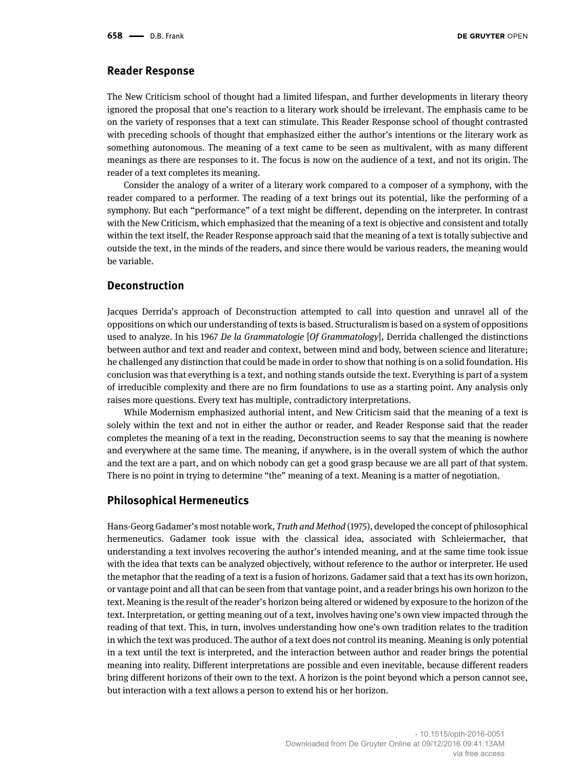#### **Reader Response**

The New Criticism school of thought had a limited lifespan, and further developments in literary theory ignored the proposal that one's reaction to a literary work should be irrelevant. The emphasis came to be on the variety of responses that a text can stimulate. This Reader Response school of thought contrasted with preceding schools of thought that emphasized either the author's intentions or the literary work as something autonomous. The meaning of a text came to be seen as multivalent, with as many different meanings as there are responses to it. The focus is now on the audience of a text, and not its origin. The reader of a text completes its meaning.

Consider the analogy of a writer of a literary work compared to a composer of a symphony, with the reader compared to a performer. The reading of a text brings out its potential, like the performing of a symphony. But each "performance" of a text might be different, depending on the interpreter. In contrast with the New Criticism, which emphasized that the meaning of a text is objective and consistent and totally within the text itself, the Reader Response approach said that the meaning of a text is totally subjective and outside the text, in the minds of the readers, and since there would be various readers, the meaning would be variable.

#### **Deconstruction**

Jacques Derrida's approach of Deconstruction attempted to call into question and unravel all of the oppositions on which our understanding of texts is based. Structuralism is based on a system of oppositions used to analyze. In his 1967 *De la Grammatologie* [*Of Grammatology*], Derrida challenged the distinctions between author and text and reader and context, between mind and body, between science and literature; he challenged any distinction that could be made in order to show that nothing is on a solid foundation. His conclusion was that everything is a text, and nothing stands outside the text. Everything is part of a system of irreducible complexity and there are no firm foundations to use as a starting point. Any analysis only raises more questions. Every text has multiple, contradictory interpretations.

While Modernism emphasized authorial intent, and New Criticism said that the meaning of a text is solely within the text and not in either the author or reader, and Reader Response said that the reader completes the meaning of a text in the reading, Deconstruction seems to say that the meaning is nowhere and everywhere at the same time. The meaning, if anywhere, is in the overall system of which the author and the text are a part, and on which nobody can get a good grasp because we are all part of that system. There is no point in trying to determine "the" meaning of a text. Meaning is a matter of negotiation.

#### **Philosophical Hermeneutics**

Hans-Georg Gadamer's most notable work, *Truth and Method* (1975), developed the concept of philosophical hermeneutics. Gadamer took issue with the classical idea, associated with Schleiermacher, that understanding a text involves recovering the author's intended meaning, and at the same time took issue with the idea that texts can be analyzed objectively, without reference to the author or interpreter. He used the metaphor that the reading of a text is a fusion of horizons. Gadamer said that a text has its own horizon, or vantage point and all that can be seen from that vantage point, and a reader brings his own horizon to the text. Meaning is the result of the reader's horizon being altered or widened by exposure to the horizon of the text. Interpretation, or getting meaning out of a text, involves having one's own view impacted through the reading of that text. This, in turn, involves understanding how one's own tradition relates to the tradition in which the text was produced. The author of a text does not control its meaning. Meaning is only potential in a text until the text is interpreted, and the interaction between author and reader brings the potential meaning into reality. Different interpretations are possible and even inevitable, because different readers bring different horizons of their own to the text. A horizon is the point beyond which a person cannot see, but interaction with a text allows a person to extend his or her horizon.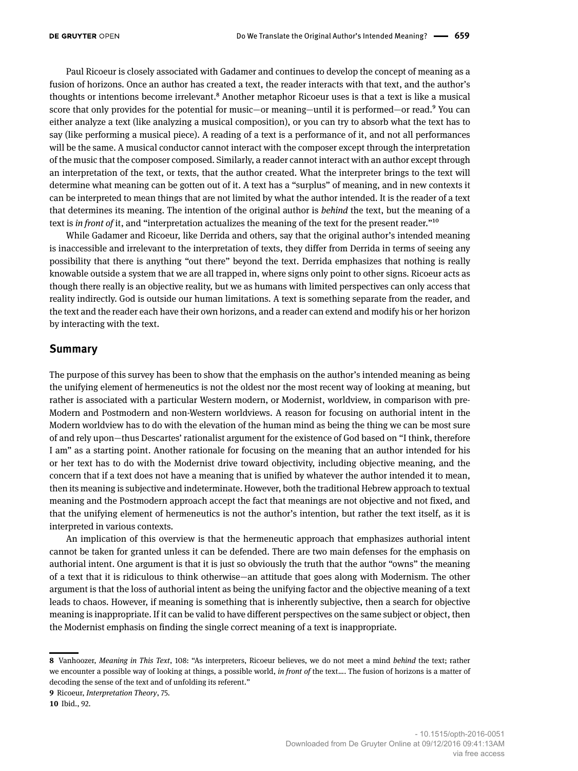Paul Ricoeur is closely associated with Gadamer and continues to develop the concept of meaning as a fusion of horizons. Once an author has created a text, the reader interacts with that text, and the author's thoughts or intentions become irrelevant.<sup>8</sup> Another metaphor Ricoeur uses is that a text is like a musical score that only provides for the potential for music—or meaning—until it is performed—or read.<sup>9</sup> You can either analyze a text (like analyzing a musical composition), or you can try to absorb what the text has to say (like performing a musical piece). A reading of a text is a performance of it, and not all performances will be the same. A musical conductor cannot interact with the composer except through the interpretation of the music that the composer composed. Similarly, a reader cannot interact with an author except through an interpretation of the text, or texts, that the author created. What the interpreter brings to the text will determine what meaning can be gotten out of it. A text has a "surplus" of meaning, and in new contexts it can be interpreted to mean things that are not limited by what the author intended. It is the reader of a text that determines its meaning. The intention of the original author is *behind* the text, but the meaning of a text is *in front of* it, and "interpretation actualizes the meaning of the text for the present reader."10

While Gadamer and Ricoeur, like Derrida and others, say that the original author's intended meaning is inaccessible and irrelevant to the interpretation of texts, they differ from Derrida in terms of seeing any possibility that there is anything "out there" beyond the text. Derrida emphasizes that nothing is really knowable outside a system that we are all trapped in, where signs only point to other signs. Ricoeur acts as though there really is an objective reality, but we as humans with limited perspectives can only access that reality indirectly. God is outside our human limitations. A text is something separate from the reader, and the text and the reader each have their own horizons, and a reader can extend and modify his or her horizon by interacting with the text.

#### **Summary**

The purpose of this survey has been to show that the emphasis on the author's intended meaning as being the unifying element of hermeneutics is not the oldest nor the most recent way of looking at meaning, but rather is associated with a particular Western modern, or Modernist, worldview, in comparison with pre-Modern and Postmodern and non-Western worldviews. A reason for focusing on authorial intent in the Modern worldview has to do with the elevation of the human mind as being the thing we can be most sure of and rely upon—thus Descartes' rationalist argument for the existence of God based on "I think, therefore I am" as a starting point. Another rationale for focusing on the meaning that an author intended for his or her text has to do with the Modernist drive toward objectivity, including objective meaning, and the concern that if a text does not have a meaning that is unified by whatever the author intended it to mean, then its meaning is subjective and indeterminate. However, both the traditional Hebrew approach to textual meaning and the Postmodern approach accept the fact that meanings are not objective and not fixed, and that the unifying element of hermeneutics is not the author's intention, but rather the text itself, as it is interpreted in various contexts.

An implication of this overview is that the hermeneutic approach that emphasizes authorial intent cannot be taken for granted unless it can be defended. There are two main defenses for the emphasis on authorial intent. One argument is that it is just so obviously the truth that the author "owns" the meaning of a text that it is ridiculous to think otherwise—an attitude that goes along with Modernism. The other argument is that the loss of authorial intent as being the unifying factor and the objective meaning of a text leads to chaos. However, if meaning is something that is inherently subjective, then a search for objective meaning is inappropriate. If it can be valid to have different perspectives on the same subject or object, then the Modernist emphasis on finding the single correct meaning of a text is inappropriate.

**<sup>8</sup>** Vanhoozer, *Meaning in This Text*, 108: "As interpreters, Ricoeur believes, we do not meet a mind *behind* the text; rather we encounter a possible way of looking at things, a possible world, *in front of* the text…. The fusion of horizons is a matter of decoding the sense of the text and of unfolding its referent."

**<sup>9</sup>** Ricoeur, *Interpretation Theory*, 75.

**<sup>10</sup>** Ibid., 92.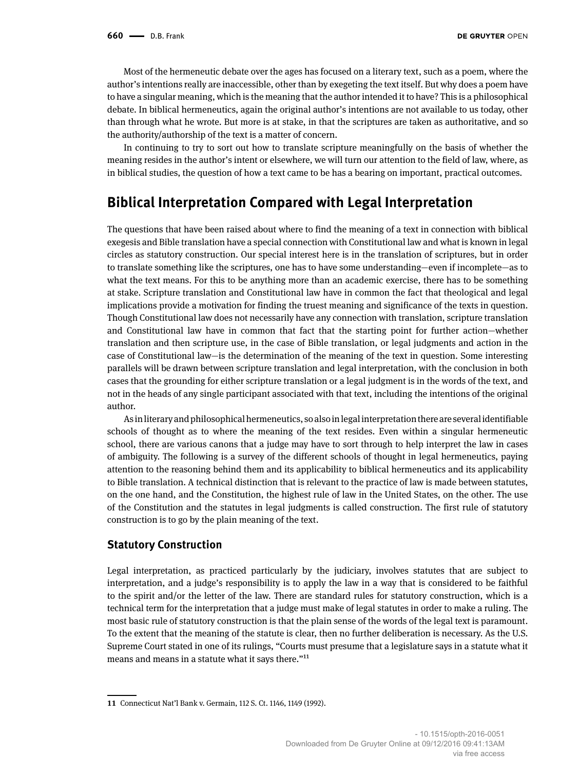Most of the hermeneutic debate over the ages has focused on a literary text, such as a poem, where the author's intentions really are inaccessible, other than by exegeting the text itself. But why does a poem have to have a singular meaning, which is the meaning that the author intended it to have? This is a philosophical debate. In biblical hermeneutics, again the original author's intentions are not available to us today, other than through what he wrote. But more is at stake, in that the scriptures are taken as authoritative, and so the authority/authorship of the text is a matter of concern.

In continuing to try to sort out how to translate scripture meaningfully on the basis of whether the meaning resides in the author's intent or elsewhere, we will turn our attention to the field of law, where, as in biblical studies, the question of how a text came to be has a bearing on important, practical outcomes.

# **Biblical Interpretation Compared with Legal Interpretation**

The questions that have been raised about where to find the meaning of a text in connection with biblical exegesis and Bible translation have a special connection with Constitutional law and what is known in legal circles as statutory construction. Our special interest here is in the translation of scriptures, but in order to translate something like the scriptures, one has to have some understanding—even if incomplete—as to what the text means. For this to be anything more than an academic exercise, there has to be something at stake. Scripture translation and Constitutional law have in common the fact that theological and legal implications provide a motivation for finding the truest meaning and significance of the texts in question. Though Constitutional law does not necessarily have any connection with translation, scripture translation and Constitutional law have in common that fact that the starting point for further action—whether translation and then scripture use, in the case of Bible translation, or legal judgments and action in the case of Constitutional law—is the determination of the meaning of the text in question. Some interesting parallels will be drawn between scripture translation and legal interpretation, with the conclusion in both cases that the grounding for either scripture translation or a legal judgment is in the words of the text, and not in the heads of any single participant associated with that text, including the intentions of the original author.

As in literary and philosophical hermeneutics, so also in legal interpretation there are several identifiable schools of thought as to where the meaning of the text resides. Even within a singular hermeneutic school, there are various canons that a judge may have to sort through to help interpret the law in cases of ambiguity. The following is a survey of the different schools of thought in legal hermeneutics, paying attention to the reasoning behind them and its applicability to biblical hermeneutics and its applicability to Bible translation. A technical distinction that is relevant to the practice of law is made between statutes, on the one hand, and the Constitution, the highest rule of law in the United States, on the other. The use of the Constitution and the statutes in legal judgments is called construction. The first rule of statutory construction is to go by the plain meaning of the text.

#### **Statutory Construction**

Legal interpretation, as practiced particularly by the judiciary, involves statutes that are subject to interpretation, and a judge's responsibility is to apply the law in a way that is considered to be faithful to the spirit and/or the letter of the law. There are standard rules for statutory construction, which is a technical term for the interpretation that a judge must make of legal statutes in order to make a ruling. The most basic rule of statutory construction is that the plain sense of the words of the legal text is paramount. To the extent that the meaning of the statute is clear, then no further deliberation is necessary. As the U.S. Supreme Court stated in one of its rulings, "Courts must presume that a legislature says in a statute what it means and means in a statute what it says there."<sup>11</sup>

**<sup>11</sup>** Connecticut Nat'l Bank v. Germain, 112 S. Ct. 1146, 1149 (1992).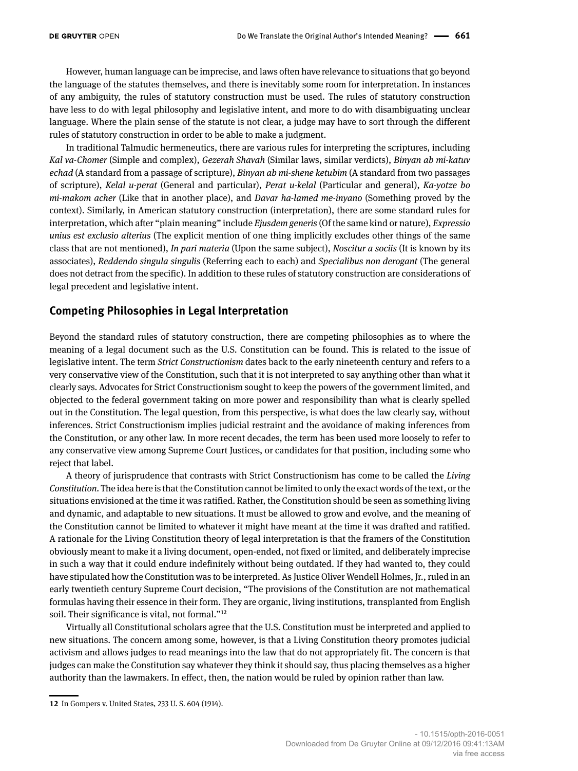However, human language can be imprecise, and laws often have relevance to situations that go beyond the language of the statutes themselves, and there is inevitably some room for interpretation. In instances of any ambiguity, the rules of statutory construction must be used. The rules of statutory construction have less to do with legal philosophy and legislative intent, and more to do with disambiguating unclear language. Where the plain sense of the statute is not clear, a judge may have to sort through the different rules of statutory construction in order to be able to make a judgment.

In traditional Talmudic hermeneutics, there are various rules for interpreting the scriptures, including *Kal va-Chomer* (Simple and complex), *Gezerah Shavah* (Similar laws, similar verdicts), *Binyan ab mi-katuv echad* (A standard from a passage of scripture), *Binyan ab mi-shene ketubim* (A standard from two passages of scripture), *Kelal u-perat* (General and particular), *Perat u-kelal* (Particular and general), *Ka-yotze bo mi-makom acher* (Like that in another place), and *Davar ha-lamed me-inyano* (Something proved by the context). Similarly, in American statutory construction (interpretation), there are some standard rules for interpretation, which after "plain meaning" include *Ejusdem generis* (Of the same kind or nature), *Expressio unius est exclusio alterius* (The explicit mention of one thing implicitly excludes other things of the same class that are not mentioned), *In pari materia* (Upon the same subject), *Noscitur a sociis* (It is known by its associates), *Reddendo singula singulis* (Referring each to each) and *Specialibus non derogant* (The general does not detract from the specific). In addition to these rules of statutory construction are considerations of legal precedent and legislative intent.

#### **Competing Philosophies in Legal Interpretation**

Beyond the standard rules of statutory construction, there are competing philosophies as to where the meaning of a legal document such as the U.S. Constitution can be found. This is related to the issue of legislative intent. The term *Strict Constructionism* dates back to the early nineteenth century and refers to a very conservative view of the Constitution, such that it is not interpreted to say anything other than what it clearly says. Advocates for Strict Constructionism sought to keep the powers of the government limited, and objected to the federal government taking on more power and responsibility than what is clearly spelled out in the Constitution. The legal question, from this perspective, is what does the law clearly say, without inferences. Strict Constructionism implies judicial restraint and the avoidance of making inferences from the Constitution, or any other law. In more recent decades, the term has been used more loosely to refer to any conservative view among Supreme Court Justices, or candidates for that position, including some who reject that label.

A theory of jurisprudence that contrasts with Strict Constructionism has come to be called the *Living Constitution*. The idea here is that the Constitution cannot be limited to only the exact words of the text, or the situations envisioned at the time it was ratified. Rather, the Constitution should be seen as something living and dynamic, and adaptable to new situations. It must be allowed to grow and evolve, and the meaning of the Constitution cannot be limited to whatever it might have meant at the time it was drafted and ratified. A rationale for the Living Constitution theory of legal interpretation is that the framers of the Constitution obviously meant to make it a living document, open-ended, not fixed or limited, and deliberately imprecise in such a way that it could endure indefinitely without being outdated. If they had wanted to, they could have stipulated how the Constitution was to be interpreted. As Justice Oliver Wendell Holmes, Jr., ruled in an early twentieth century Supreme Court decision, "The provisions of the Constitution are not mathematical formulas having their essence in their form. They are organic, living institutions, transplanted from English soil. Their significance is vital, not formal."12

Virtually all Constitutional scholars agree that the U.S. Constitution must be interpreted and applied to new situations. The concern among some, however, is that a Living Constitution theory promotes judicial activism and allows judges to read meanings into the law that do not appropriately fit. The concern is that judges can make the Constitution say whatever they think it should say, thus placing themselves as a higher authority than the lawmakers. In effect, then, the nation would be ruled by opinion rather than law.

**<sup>12</sup>** In Gompers v. United States, 233 U. S. 604 (1914).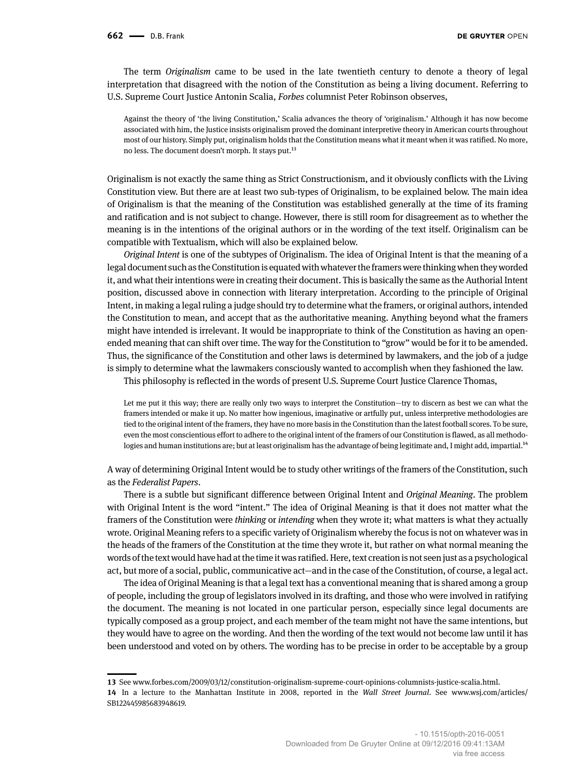The term *Originalism* came to be used in the late twentieth century to denote a theory of legal interpretation that disagreed with the notion of the Constitution as being a living document. Referring to U.S. Supreme Court Justice Antonin Scalia, *Forbes* columnist Peter Robinson observes,

Against the theory of 'the living Constitution,' Scalia advances the theory of 'originalism.' Although it has now become associated with him, the Justice insists originalism proved the dominant interpretive theory in American courts throughout most of our history. Simply put, originalism holds that the Constitution means what it meant when it was ratified. No more, no less. The document doesn't morph. It stays put.<sup>13</sup>

Originalism is not exactly the same thing as Strict Constructionism, and it obviously conflicts with the Living Constitution view. But there are at least two sub-types of Originalism, to be explained below. The main idea of Originalism is that the meaning of the Constitution was established generally at the time of its framing and ratification and is not subject to change. However, there is still room for disagreement as to whether the meaning is in the intentions of the original authors or in the wording of the text itself. Originalism can be compatible with Textualism, which will also be explained below.

*Original Intent* is one of the subtypes of Originalism. The idea of Original Intent is that the meaning of a legal document such as the Constitution is equated with whatever the framers were thinking when they worded it, and what their intentions were in creating their document. This is basically the same as the Authorial Intent position, discussed above in connection with literary interpretation. According to the principle of Original Intent, in making a legal ruling a judge should try to determine what the framers, or original authors, intended the Constitution to mean, and accept that as the authoritative meaning. Any thing beyond what the framers might have intended is irrelevant. It would be inappropriate to think of the Constitution as having an openended meaning that can shift over time. The way for the Constitution to "grow" would be for it to be amended. Thus, the significance of the Constitution and other laws is determined by lawmakers, and the job of a judge is simply to determine what the lawmakers consciously wanted to accomplish when they fashioned the law.

This philosophy is reflected in the words of present U.S. Supreme Court Justice Clarence Thomas,

Let me put it this way; there are really only two ways to interpret the Constitution—try to discern as best we can what the framers intended or make it up. No matter how ingenious, imaginative or artfully put, unless interpretive methodologies are tied to the original intent of the framers, they have no more basis in the Constitution than the latest football scores. To be sure, even the most conscientious effort to adhere to the original intent of the framers of our Constitution is flawed, as all methodologies and human institutions are; but at least originalism has the advantage of being legitimate and, I might add, impartial.<sup>14</sup>

A way of determining Original Intent would be to study other writings of the framers of the Constitution, such as the *Federalist Papers*.

There is a subtle but significant difference between Original Intent and *Original Meaning*. The problem with Original Intent is the word "intent." The idea of Original Meaning is that it does not matter what the framers of the Constitution were *thinking* or *intending* when they wrote it; what matters is what they actually wrote. Original Meaning refers to a specific variety of Originalism whereby the focus is not on whatever was in the heads of the framers of the Constitution at the time they wrote it, but rather on what normal meaning the words of the text would have had at the time it was ratified. Here, text creation is not seen just as a psychological act, but more of a social, public, communicative act—and in the case of the Constitution, of course, a legal act.

The idea of Original Meaning is that a legal text has a conventional meaning that is shared among a group of people, including the group of legislators involved in its drafting, and those who were involved in ratifying the document. The meaning is not located in one particular person, especially since legal documents are typically composed as a group project, and each member of the team might not have the same intentions, but they would have to agree on the wording. And then the wording of the text would not become law until it has been understood and voted on by others. The wording has to be precise in order to be acceptable by a group

**14** In a lecture to the Manhattan Institute in 2008, reported in the *Wall Street Journal*. See www.wsj.com/articles/ SB122445985683948619.

**<sup>13</sup>** See www.forbes.com/2009/03/12/constitution-originalism-supreme-court-opinions-columnists-justice-scalia.html.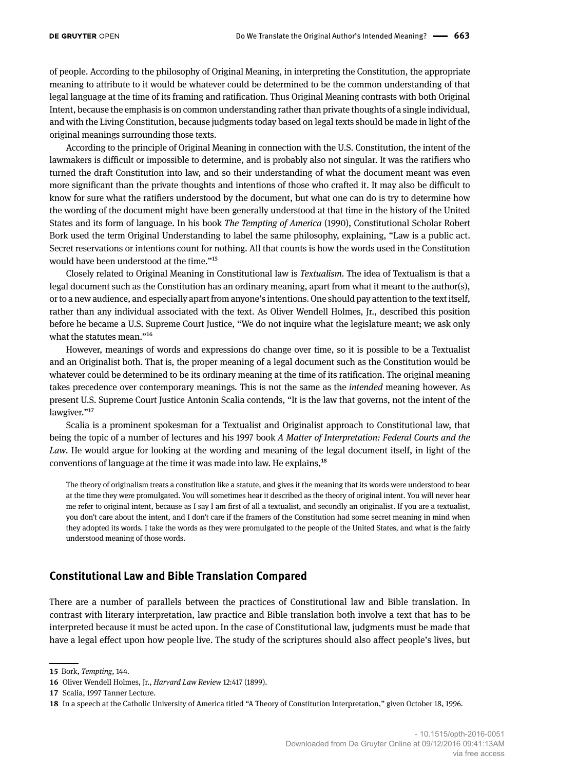of people. According to the philosophy of Original Meaning, in interpreting the Constitution, the appropriate meaning to attribute to it would be whatever could be determined to be the common understanding of that legal language at the time of its framing and ratification. Thus Original Meaning contrasts with both Original Intent, because the emphasis is on common understanding rather than private thoughts of a single individual, and with the Living Constitution, because judgments today based on legal texts should be made in light of the original meanings surrounding those texts.

According to the principle of Original Meaning in connection with the U.S. Constitution, the intent of the lawmakers is difficult or impossible to determine, and is probably also not singular. It was the ratifiers who turned the draft Constitution into law, and so their understanding of what the document meant was even more significant than the private thoughts and intentions of those who crafted it. It may also be difficult to know for sure what the ratifiers understood by the document, but what one can do is try to determine how the wording of the document might have been generally understood at that time in the history of the United States and its form of language. In his book *The Tempting of America* (1990), Constitutional Scholar Robert Bork used the term Original Understanding to label the same philosophy, explaining, "Law is a public act. Secret reservations or intentions count for nothing. All that counts is how the words used in the Constitution would have been understood at the time."15

Closely related to Original Meaning in Constitutional law is *Textualism*. The idea of Textualism is that a legal document such as the Constitution has an ordinary meaning, apart from what it meant to the author(s), or to a new audience, and especially apart from anyone's intentions. One should pay attention to the text itself, rather than any individual associated with the text. As Oliver Wendell Holmes, Jr., described this position before he became a U.S. Supreme Court Justice, "We do not inquire what the legislature meant; we ask only what the statutes mean."<sup>16</sup>

However, meanings of words and expressions do change over time, so it is possible to be a Textualist and an Originalist both. That is, the proper meaning of a legal document such as the Constitution would be whatever could be determined to be its ordinary meaning at the time of its ratification. The original meaning takes precedence over contemporary meanings. This is not the same as the *intended* meaning however. As present U.S. Supreme Court Justice Antonin Scalia contends, "It is the law that governs, not the intent of the lawgiver."<sup>17</sup>

Scalia is a prominent spokesman for a Textualist and Originalist approach to Constitutional law, that being the topic of a number of lectures and his 1997 book *A Matter of Interpretation: Federal Courts and the Law*. He would argue for looking at the wording and meaning of the legal document itself, in light of the conventions of language at the time it was made into law. He explains,18

The theory of originalism treats a constitution like a statute, and gives it the meaning that its words were understood to bear at the time they were promulgated. You will sometimes hear it described as the theory of original intent. You will never hear me refer to original intent, because as I say I am first of all a textualist, and secondly an originalist. If you are a textualist, you don't care about the intent, and I don't care if the framers of the Constitution had some secret meaning in mind when they adopted its words. I take the words as they were promulgated to the people of the United States, and what is the fairly understood meaning of those words.

### **Constitutional Law and Bible Translation Compared**

There are a number of parallels between the practices of Constitutional law and Bible translation. In contrast with literary interpretation, law practice and Bible translation both involve a text that has to be interpreted because it must be acted upon. In the case of Constitutional law, judgments must be made that have a legal effect upon how people live. The study of the scriptures should also affect people's lives, but

**<sup>15</sup>** Bork, *Tempting*, 144.

**<sup>16</sup>** Oliver Wendell Holmes, Jr., *Harvard Law Review* 12:417 (1899).

**<sup>17</sup>** Scalia, 1997 Tanner Lecture.

**<sup>18</sup>** In a speech at the Catholic University of America titled "A Theory of Constitution Interpretation," given October 18, 1996.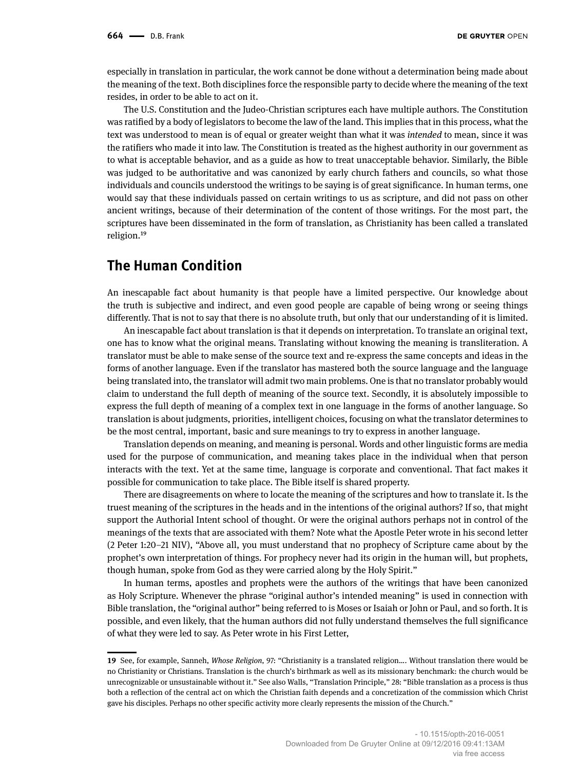especially in translation in particular, the work cannot be done without a determination being made about the meaning of the text. Both disciplines force the responsible party to decide where the meaning of the text resides, in order to be able to act on it.

The U.S. Constitution and the Judeo-Christian scriptures each have multiple authors. The Constitution was ratified by a body of legislators to become the law of the land. This implies that in this process, what the text was understood to mean is of equal or greater weight than what it was *intended* to mean, since it was the ratifiers who made it into law. The Constitution is treated as the highest authority in our government as to what is acceptable behavior, and as a guide as how to treat unacceptable behavior. Similarly, the Bible was judged to be authoritative and was canonized by early church fathers and councils, so what those individuals and councils understood the writings to be saying is of great significance. In human terms, one would say that these individuals passed on certain writings to us as scripture, and did not pass on other ancient writings, because of their determination of the content of those writings. For the most part, the scriptures have been disseminated in the form of translation, as Christianity has been called a translated religion.19

# **The Human Condition**

An inescapable fact about humanity is that people have a limited perspective. Our knowledge about the truth is subjective and indirect, and even good people are capable of being wrong or seeing things differently. That is not to say that there is no absolute truth, but only that our understanding of it is limited.

An inescapable fact about translation is that it depends on interpretation. To translate an original text, one has to know what the original means. Translating without knowing the meaning is transliteration. A translator must be able to make sense of the source text and re-express the same concepts and ideas in the forms of another language. Even if the translator has mastered both the source language and the language being translated into, the translator will admit two main problems. One is that no translator probably would claim to understand the full depth of meaning of the source text. Secondly, it is absolutely impossible to express the full depth of meaning of a complex text in one language in the forms of another language. So translation is about judgments, priorities, intelligent choices, focusing on what the translator determines to be the most central, important, basic and sure meanings to try to express in another language.

Translation depends on meaning, and meaning is personal. Words and other linguistic forms are media used for the purpose of communication, and meaning takes place in the individual when that person interacts with the text. Yet at the same time, language is corporate and conventional. That fact makes it possible for communication to take place. The Bible itself is shared property.

There are disagreements on where to locate the meaning of the scriptures and how to translate it. Is the truest meaning of the scriptures in the heads and in the intentions of the original authors? If so, that might support the Authorial Intent school of thought. Or were the original authors perhaps not in control of the meanings of the texts that are associated with them? Note what the Apostle Peter wrote in his second letter (2 Peter 1:20–21 NIV), "Above all, you must understand that no prophecy of Scripture came about by the prophet's own interpretation of things. For prophecy never had its origin in the human will, but prophets, though human, spoke from God as they were carried along by the Holy Spirit."

In human terms, apostles and prophets were the authors of the writings that have been canonized as Holy Scripture. Whenever the phrase "original author's intended meaning" is used in connection with Bible translation, the "original author" being referred to is Moses or Isaiah or John or Paul, and so forth. It is possible, and even likely, that the human authors did not fully understand themselves the full significance of what they were led to say. As Peter wrote in his First Letter,

**<sup>19</sup>** See, for example, Sanneh, *Whose Religion*, 97: "Christianity is a translated religion…. Without translation there would be no Christianity or Christians. Translation is the church's birthmark as well as its missionary benchmark: the church would be unrecognizable or unsustainable without it." See also Walls, "Translation Principle," 28: "Bible translation as a process is thus both a reflection of the central act on which the Christian faith depends and a concretization of the commission which Christ gave his disciples. Perhaps no other specific activity more clearly represents the mission of the Church."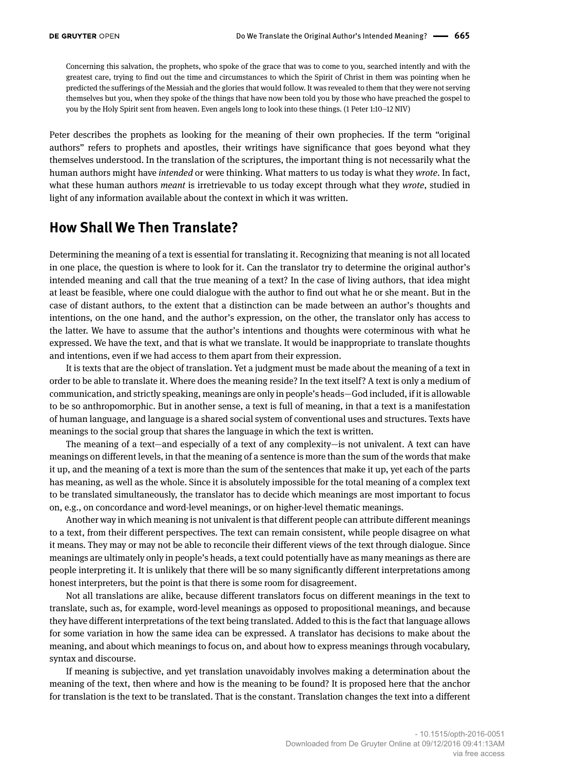Concerning this salvation, the prophets, who spoke of the grace that was to come to you, searched intently and with the greatest care, trying to find out the time and circumstances to which the Spirit of Christ in them was pointing when he predicted the sufferings of the Messiah and the glories that would follow. It was revealed to them that they were not serving themselves but you, when they spoke of the things that have now been told you by those who have preached the gospel to you by the Holy Spirit sent from heaven. Even angels long to look into these things. (1 Peter 1:10–12 NIV)

Peter describes the prophets as looking for the meaning of their own prophecies. If the term "original authors" refers to prophets and apostles, their writings have significance that goes beyond what they themselves understood. In the translation of the scriptures, the important thing is not necessarily what the human authors might have *intended* or were thinking. What matters to us today is what they *wrote*. In fact, what these human authors *meant* is irretrievable to us today except through what they *wrote*, studied in light of any information available about the context in which it was written.

# **How Shall We Then Translate?**

Determining the meaning of a text is essential for translating it. Recognizing that meaning is not all located in one place, the question is where to look for it. Can the translator try to determine the original author's intended meaning and call that the true meaning of a text? In the case of living authors, that idea might at least be feasible, where one could dialogue with the author to find out what he or she meant. But in the case of distant authors, to the extent that a distinction can be made between an author's thoughts and intentions, on the one hand, and the author's expression, on the other, the translator only has access to the latter. We have to assume that the author's intentions and thoughts were coterminous with what he expressed. We have the text, and that is what we translate. It would be inappropriate to translate thoughts and intentions, even if we had access to them apart from their expression.

It is texts that are the object of translation. Yet a judgment must be made about the meaning of a text in order to be able to translate it. Where does the meaning reside? In the text itself? A text is only a medium of communication, and strictly speaking, meanings are only in people's heads—God included, if it is allowable to be so anthropomorphic. But in another sense, a text is full of meaning, in that a text is a manifestation of human language, and language is a shared social system of conventional uses and structures. Texts have meanings to the social group that shares the language in which the text is written.

The meaning of a text—and especially of a text of any complexity—is not univalent. A text can have meanings on different levels, in that the meaning of a sentence is more than the sum of the words that make it up, and the meaning of a text is more than the sum of the sentences that make it up, yet each of the parts has meaning, as well as the whole. Since it is absolutely impossible for the total meaning of a complex text to be translated simultaneously, the translator has to decide which meanings are most important to focus on, e.g., on concordance and word-level meanings, or on higher-level thematic meanings.

Another way in which meaning is not univalent is that different people can attribute different meanings to a text, from their different perspectives. The text can remain consistent, while people disagree on what it means. They may or may not be able to reconcile their different views of the text through dialogue. Since meanings are ultimately only in people's heads, a text could potentially have as many meanings as there are people interpreting it. It is unlikely that there will be so many significantly dif ferent interpretations among honest interpreters, but the point is that there is some room for disagreement.

Not all translations are alike, because different translators focus on different meanings in the text to translate, such as, for example, word-level meanings as opposed to propositional meanings, and because they have different interpretations of the text being translated. Added to this is the fact that language allows for some variation in how the same idea can be expressed. A translator has decisions to make about the meaning, and about which meanings to focus on, and about how to express meanings through vocabulary, syntax and discourse.

If meaning is subjective, and yet translation unavoidably involves making a determination about the meaning of the text, then where and how is the meaning to be found? It is proposed here that the anchor for translation is the text to be translated. That is the constant. Translation changes the text into a different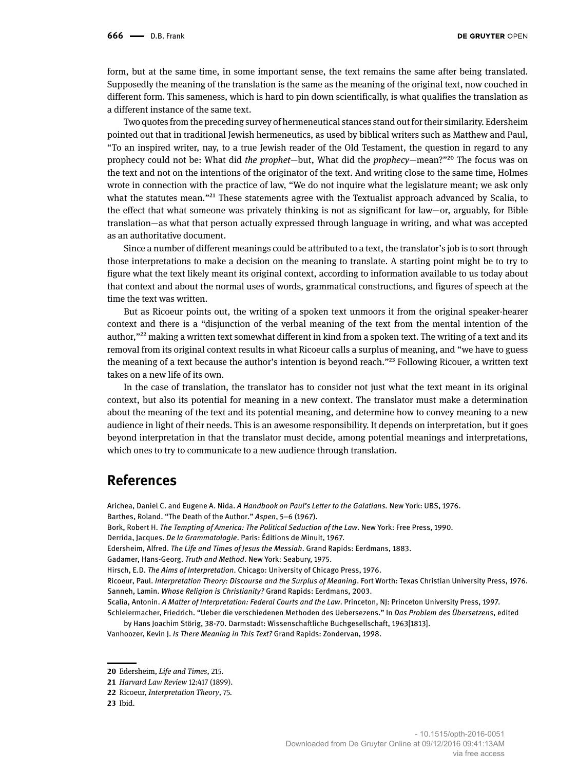form, but at the same time, in some important sense, the text remains the same after being translated. Supposedly the meaning of the translation is the same as the meaning of the original text, now couched in different form. This sameness, which is hard to pin down scientifically, is what qualifies the translation as a different instance of the same text.

Two quotes from the preceding survey of hermeneutical stances stand out for their similarity. Edersheim pointed out that in traditional Jewish hermeneutics, as used by biblical writers such as Matthew and Paul, "To an inspired writer, nay, to a true Jewish reader of the Old Testament, the question in regard to any prophecy could not be: What did *the prophet*—but, What did the *prophecy*—mean?"20 The focus was on the text and not on the intentions of the originator of the text. And writing close to the same time, Holmes wrote in connection with the practice of law, "We do not inquire what the legislature meant; we ask only what the statutes mean."<sup>21</sup> These statements agree with the Textualist approach advanced by Scalia, to the effect that what someone was privately thinking is not as significant for law—or, arguably, for Bible translation—as what that person actually expressed through language in writing, and what was accepted as an authoritative document.

Since a number of different meanings could be attributed to a text, the translator's job is to sort through those interpretations to make a decision on the meaning to translate. A starting point might be to try to figure what the text likely meant its original context, according to information available to us today about that context and about the normal uses of words, grammatical constructions, and figures of speech at the time the text was written.

But as Ricoeur points out, the writing of a spoken text unmoors it from the original speaker-hearer context and there is a "disjunction of the verbal meaning of the text from the mental intention of the author,"<sup>22</sup> making a written text somewhat different in kind from a spoken text. The writing of a text and its removal from its original context results in what Ricoeur calls a surplus of meaning, and "we have to guess the meaning of a text because the author's intention is beyond reach."23 Following Ricouer, a written text takes on a new life of its own.

In the case of translation, the translator has to consider not just what the text meant in its original context, but also its potential for meaning in a new context. The translator must make a determination about the meaning of the text and its potential meaning, and determine how to convey meaning to a new audience in light of their needs. This is an awesome responsibility. It depends on interpretation, but it goes beyond interpretation in that the translator must decide, among potential meanings and interpretations, which ones to try to communicate to a new audience through translation.

# **References**

- Arichea, Daniel C. and Eugene A. Nida. *A Handbook on Paul's Letter to the Galatians.* New York: UBS, 1976.
- Barthes, Roland. "The Death of the Author." *Aspen*, 5–6 (1967).
- Bork, Robert H. *The Tempting of America: The Political Seduction of the Law*. New York: Free Press, 1990.
- Derrida, Jacques. *De la Grammatologie*. Paris: Éditions de Minuit, 1967.
- Edersheim, Alfred. *The Life and Times of Jesus the Messiah*. Grand Rapids: Eerdmans, 1883.
- Gadamer, Hans-Georg. *Truth and Method*. New York: Seabury, 1975.
- Hirsch, E.D. *The Aims of Interpretation*. Chicago: University of Chicago Press, 1976.
- Ricoeur, Paul. *Interpretation Theory: Discourse and the Surplus of Meaning*. Fort Worth: Texas Christian University Press, 1976. Sanneh, Lamin. *Whose Religion is Christianity?* Grand Rapids: Eerdmans, 2003.
- Scalia, Antonin. *A Matter of Interpretation: Federal Courts and the Law*. Princeton, NJ: Princeton University Press, 1997.

Schleiermacher, Friedrich. "Ueber die verschiedenen Methoden des Uebersezens." In *Das Problem des Übersetzens*, edited by Hans Joachim Störig, 38-70. Darmstadt: Wissenschaftliche Buchgesellschaft, 1963[1813].

Vanhoozer, Kevin J. *Is There Meaning in This Text?* Grand Rapids: Zondervan, 1998.

**<sup>20</sup>** Edersheim, *Life and Times*, 215.

**<sup>21</sup>** *Harvard Law Review* 12:417 (1899).

**<sup>22</sup>** Ricoeur, *Interpretation Theory*, 75.

**<sup>23</sup>** Ibid.